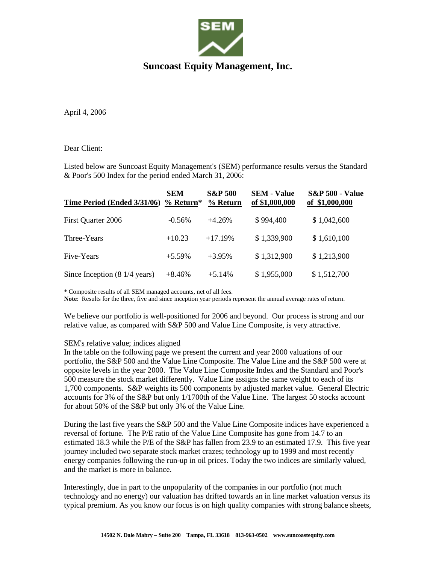

# **Suncoast Equity Management, Inc.**

April 4, 2006

## Dear Client:

Listed below are Suncoast Equity Management's (SEM) performance results versus the Standard & Poor's 500 Index for the period ended March 31, 2006:

| Time Period (Ended 3/31/06)              | <b>SEM</b><br>$%$ Return* | <b>S&amp;P 500</b><br>% Return | <b>SEM - Value</b><br>of \$1,000,000 | <b>S&amp;P 500 - Value</b><br>of \$1,000,000 |
|------------------------------------------|---------------------------|--------------------------------|--------------------------------------|----------------------------------------------|
| First Quarter 2006                       | $-0.56%$                  | $+4.26%$                       | \$994,400                            | \$1,042,600                                  |
| Three-Years                              | $+10.23$                  | $+17.19%$                      | \$1,339,900                          | \$1,610,100                                  |
| Five-Years                               | $+5.59\%$                 | $+3.95%$                       | \$1,312,900                          | \$1,213,900                                  |
| Since Inception $(8\ 1/4\ \text{years})$ | $+8.46%$                  | $+5.14%$                       | \$1,955,000                          | \$1,512,700                                  |

\* Composite results of all SEM managed accounts, net of all fees.

**Note**: Results for the three, five and since inception year periods represent the annual average rates of return.

We believe our portfolio is well-positioned for 2006 and beyond. Our process is strong and our relative value, as compared with S&P 500 and Value Line Composite, is very attractive.

#### SEM's relative value; indices aligned

In the table on the following page we present the current and year 2000 valuations of our portfolio, the S&P 500 and the Value Line Composite. The Value Line and the S&P 500 were at opposite levels in the year 2000. The Value Line Composite Index and the Standard and Poor's 500 measure the stock market differently. Value Line assigns the same weight to each of its 1,700 components. S&P weights its 500 components by adjusted market value. General Electric accounts for 3% of the S&P but only 1/1700th of the Value Line. The largest 50 stocks account for about 50% of the S&P but only 3% of the Value Line.

During the last five years the S&P 500 and the Value Line Composite indices have experienced a reversal of fortune. The P/E ratio of the Value Line Composite has gone from 14.7 to an estimated 18.3 while the P/E of the S&P has fallen from 23.9 to an estimated 17.9. This five year journey included two separate stock market crazes; technology up to 1999 and most recently energy companies following the run-up in oil prices. Today the two indices are similarly valued, and the market is more in balance.

Interestingly, due in part to the unpopularity of the companies in our portfolio (not much technology and no energy) our valuation has drifted towards an in line market valuation versus its typical premium. As you know our focus is on high quality companies with strong balance sheets,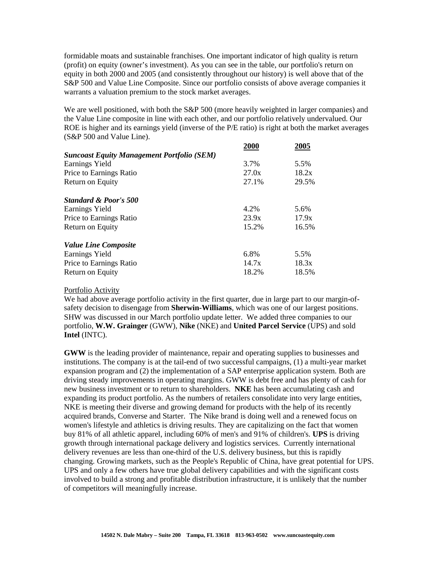formidable moats and sustainable franchises. One important indicator of high quality is return (profit) on equity (owner's investment). As you can see in the table, our portfolio's return on equity in both 2000 and 2005 (and consistently throughout our history) is well above that of the S&P 500 and Value Line Composite. Since our portfolio consists of above average companies it warrants a valuation premium to the stock market averages.

We are well positioned, with both the S&P 500 (more heavily weighted in larger companies) and the Value Line composite in line with each other, and our portfolio relatively undervalued. Our ROE is higher and its earnings yield (inverse of the P/E ratio) is right at both the market averages (S&P 500 and Value Line).

|                                                   | 2000  | 2005  |
|---------------------------------------------------|-------|-------|
| <b>Suncoast Equity Management Portfolio (SEM)</b> |       |       |
| Earnings Yield                                    | 3.7%  | 5.5%  |
| Price to Earnings Ratio                           | 27.0x | 18.2x |
| Return on Equity                                  | 27.1% | 29.5% |
| <b>Standard &amp; Poor's 500</b>                  |       |       |
| Earnings Yield                                    | 4.2%  | 5.6%  |
| Price to Earnings Ratio                           | 23.9x | 17.9x |
| Return on Equity                                  | 15.2% | 16.5% |
| <b>Value Line Composite</b>                       |       |       |
| Earnings Yield                                    | 6.8%  | 5.5%  |
| Price to Earnings Ratio                           | 14.7x | 18.3x |
| Return on Equity                                  | 18.2% | 18.5% |
|                                                   |       |       |

### Portfolio Activity

We had above average portfolio activity in the first quarter, due in large part to our margin-ofsafety decision to disengage from **Sherwin-Williams**, which was one of our largest positions. SHW was discussed in our March portfolio update letter. We added three companies to our portfolio, **W.W. Grainger** (GWW), **Nike** (NKE) and **United Parcel Service** (UPS) and sold **Intel** (INTC).

**GWW** is the leading provider of maintenance, repair and operating supplies to businesses and institutions. The company is at the tail-end of two successful campaigns, (1) a multi-year market expansion program and (2) the implementation of a SAP enterprise application system. Both are driving steady improvements in operating margins. GWW is debt free and has plenty of cash for new business investment or to return to shareholders. **NKE** has been accumulating cash and expanding its product portfolio. As the numbers of retailers consolidate into very large entities, NKE is meeting their diverse and growing demand for products with the help of its recently acquired brands, Converse and Starter. The Nike brand is doing well and a renewed focus on women's lifestyle and athletics is driving results. They are capitalizing on the fact that women buy 81% of all athletic apparel, including 60% of men's and 91% of children's. **UPS** is driving growth through international package delivery and logistics services. Currently international delivery revenues are less than one-third of the U.S. delivery business, but this is rapidly changing. Growing markets, such as the People's Republic of China, have great potential for UPS. UPS and only a few others have true global delivery capabilities and with the significant costs involved to build a strong and profitable distribution infrastructure, it is unlikely that the number of competitors will meaningfully increase.